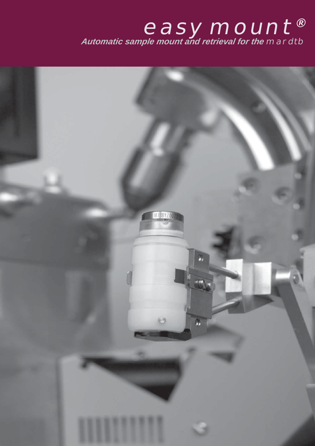## **easy**mount*® Automatic sample mount and retrieval for the* **mardtb**